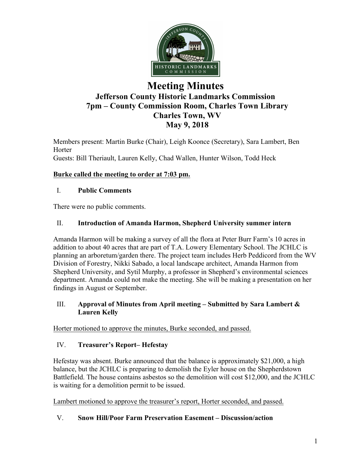

# **Meeting Minutes Jefferson County Historic Landmarks Commission 7pm – County Commission Room, Charles Town Library Charles Town, WV May 9, 2018**

Members present: Martin Burke (Chair), Leigh Koonce (Secretary), Sara Lambert, Ben **Horter** Guests: Bill Theriault, Lauren Kelly, Chad Wallen, Hunter Wilson, Todd Heck

### **Burke called the meeting to order at 7:03 pm.**

### I. **Public Comments**

There were no public comments.

### II. **Introduction of Amanda Harmon, Shepherd University summer intern**

Amanda Harmon will be making a survey of all the flora at Peter Burr Farm's 10 acres in addition to about 40 acres that are part of T.A. Lowery Elementary School. The JCHLC is planning an arboretum/garden there. The project team includes Herb Peddicord from the WV Division of Forestry, Nikki Sabado, a local landscape architect, Amanda Harmon from Shepherd University, and Sytil Murphy, a professor in Shepherd's environmental sciences department. Amanda could not make the meeting. She will be making a presentation on her findings in August or September.

#### III. **Approval of Minutes from April meeting – Submitted by Sara Lambert & Lauren Kelly**

Horter motioned to approve the minutes, Burke seconded, and passed.

### IV. **Treasurer's Report– Hefestay**

Hefestay was absent. Burke announced that the balance is approximately \$21,000, a high balance, but the JCHLC is preparing to demolish the Eyler house on the Shepherdstown Battlefield. The house contains asbestos so the demolition will cost \$12,000, and the JCHLC is waiting for a demolition permit to be issued.

Lambert motioned to approve the treasurer's report, Horter seconded, and passed.

### V. **Snow Hill/Poor Farm Preservation Easement – Discussion/action**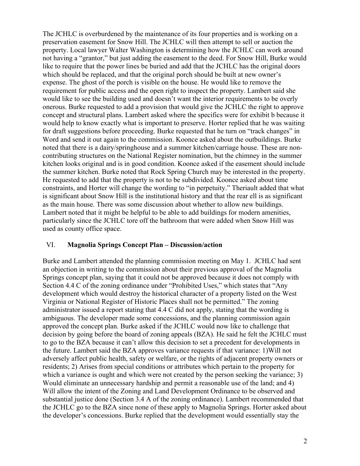The JCHLC is overburdened by the maintenance of its four properties and is working on a preservation easement for Snow Hill. The JCHLC will then attempt to sell or auction the property. Local lawyer Walter Washington is determining how the JCHLC can work around not having a "grantor," but just adding the easement to the deed. For Snow Hill, Burke would like to require that the power lines be buried and add that the JCHLC has the original doors which should be replaced, and that the original porch should be built at new owner's expense. The ghost of the porch is visible on the house. He would like to remove the requirement for public access and the open right to inspect the property. Lambert said she would like to see the building used and doesn't want the interior requirements to be overly onerous. Burke requested to add a provision that would give the JCHLC the right to approve concept and structural plans. Lambert asked where the specifics were for exhibit b because it would help to know exactly what is important to preserve. Horter replied that he was waiting for draft suggestions before proceeding. Burke requested that he turn on "track changes" in Word and send it out again to the commission. Koonce asked about the outbuildings. Burke noted that there is a dairy/springhouse and a summer kitchen/carriage house. These are noncontributing structures on the National Register nomination, but the chimney in the summer kitchen looks original and is in good condition. Koonce asked if the easement should include the summer kitchen. Burke noted that Rock Spring Church may be interested in the property. He requested to add that the property is not to be subdivided. Koonce asked about time constraints, and Horter will change the wording to "in perpetuity." Theriault added that what is significant about Snow Hill is the institutional history and that the rear ell is as significant as the main house. There was some discussion about whether to allow new buildings. Lambert noted that it might be helpful to be able to add buildings for modern amenities, particularly since the JCHLC tore off the bathroom that were added when Snow Hill was used as county office space.

#### VI. **Magnolia Springs Concept Plan – Discussion/action**

Burke and Lambert attended the planning commission meeting on May 1. JCHLC had sent an objection in writing to the commission about their previous approval of the Magnolia Springs concept plan, saying that it could not be approved because it does not comply with Section 4.4 C of the zoning ordinance under "Prohibited Uses," which states that "Any development which would destroy the historical character of a property listed on the West Virginia or National Register of Historic Places shall not be permitted." The zoning administrator issued a report stating that 4.4 C did not apply, stating that the wording is ambiguous. The developer made some concessions, and the planning commission again approved the concept plan. Burke asked if the JCHLC would now like to challenge that decision by going before the board of zoning appeals (BZA). He said he felt the JCHLC must to go to the BZA because it can't allow this decision to set a precedent for developments in the future. Lambert said the BZA approves variance requests if that variance: 1)Will not adversely affect public health, safety or welfare, or the rights of adjacent property owners or residents; 2) Arises from special conditions or attributes which pertain to the property for which a variance is ought and which were not created by the person seeking the variance; 3) Would eliminate an unnecessary hardship and permit a reasonable use of the land; and 4) Will allow the intent of the Zoning and Land Development Ordinance to be observed and substantial justice done (Section 3.4 A of the zoning ordinance). Lambert recommended that the JCHLC go to the BZA since none of these apply to Magnolia Springs. Horter asked about the developer's concessions. Burke replied that the development would essentially stay the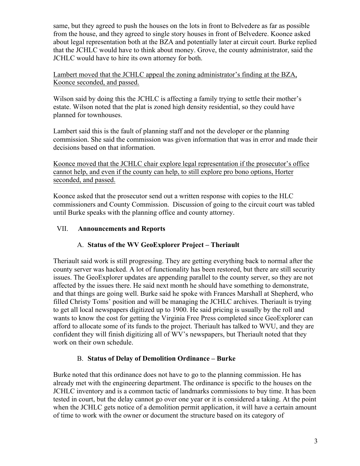same, but they agreed to push the houses on the lots in front to Belvedere as far as possible from the house, and they agreed to single story houses in front of Belvedere. Koonce asked about legal representation both at the BZA and potentially later at circuit court. Burke replied that the JCHLC would have to think about money. Grove, the county administrator, said the JCHLC would have to hire its own attorney for both.

Lambert moved that the JCHLC appeal the zoning administrator's finding at the BZA, Koonce seconded, and passed.

Wilson said by doing this the JCHLC is affecting a family trying to settle their mother's estate. Wilson noted that the plat is zoned high density residential, so they could have planned for townhouses.

Lambert said this is the fault of planning staff and not the developer or the planning commission. She said the commission was given information that was in error and made their decisions based on that information.

Koonce moved that the JCHLC chair explore legal representation if the prosecutor's office cannot help, and even if the county can help, to still explore pro bono options, Horter seconded, and passed.

Koonce asked that the prosecutor send out a written response with copies to the HLC commissioners and County Commission. Discussion of going to the circuit court was tabled until Burke speaks with the planning office and county attorney.

### VII. **Announcements and Reports**

### A. **Status of the WV GeoExplorer Project – Theriault**

Theriault said work is still progressing. They are getting everything back to normal after the county server was hacked. A lot of functionality has been restored, but there are still security issues. The GeoExplorer updates are appending parallel to the county server, so they are not affected by the issues there. He said next month he should have something to demonstrate, and that things are going well. Burke said he spoke with Frances Marshall at Shepherd, who filled Christy Toms' position and will be managing the JCHLC archives. Theriault is trying to get all local newspapers digitized up to 1900. He said pricing is usually by the roll and wants to know the cost for getting the Virginia Free Press completed since GeoExplorer can afford to allocate some of its funds to the project. Theriault has talked to WVU, and they are confident they will finish digitizing all of WV's newspapers, but Theriault noted that they work on their own schedule.

### B. **Status of Delay of Demolition Ordinance – Burke**

Burke noted that this ordinance does not have to go to the planning commission. He has already met with the engineering department. The ordinance is specific to the houses on the JCHLC inventory and is a common tactic of landmarks commissions to buy time. It has been tested in court, but the delay cannot go over one year or it is considered a taking. At the point when the JCHLC gets notice of a demolition permit application, it will have a certain amount of time to work with the owner or document the structure based on its category of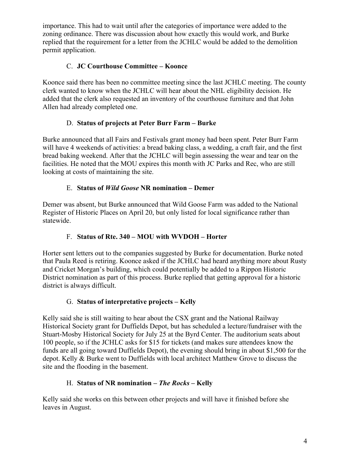importance. This had to wait until after the categories of importance were added to the zoning ordinance. There was discussion about how exactly this would work, and Burke replied that the requirement for a letter from the JCHLC would be added to the demolition permit application.

## C. **JC Courthouse Committee – Koonce**

Koonce said there has been no committee meeting since the last JCHLC meeting. The county clerk wanted to know when the JCHLC will hear about the NHL eligibility decision. He added that the clerk also requested an inventory of the courthouse furniture and that John Allen had already completed one.

### D. **Status of projects at Peter Burr Farm – Burke**

Burke announced that all Fairs and Festivals grant money had been spent. Peter Burr Farm will have 4 weekends of activities: a bread baking class, a wedding, a craft fair, and the first bread baking weekend. After that the JCHLC will begin assessing the wear and tear on the facilities. He noted that the MOU expires this month with JC Parks and Rec, who are still looking at costs of maintaining the site.

### E. **Status of** *Wild Goose* **NR nomination – Demer**

Demer was absent, but Burke announced that Wild Goose Farm was added to the National Register of Historic Places on April 20, but only listed for local significance rather than statewide.

## F. **Status of Rte. 340 – MOU with WVDOH – Horter**

Horter sent letters out to the companies suggested by Burke for documentation. Burke noted that Paula Reed is retiring. Koonce asked if the JCHLC had heard anything more about Rusty and Cricket Morgan's building, which could potentially be added to a Rippon Historic District nomination as part of this process. Burke replied that getting approval for a historic district is always difficult.

### G. **Status of interpretative projects – Kelly**

Kelly said she is still waiting to hear about the CSX grant and the National Railway Historical Society grant for Duffields Depot, but has scheduled a lecture/fundraiser with the Stuart-Mosby Historical Society for July 25 at the Byrd Center. The auditorium seats about 100 people, so if the JCHLC asks for \$15 for tickets (and makes sure attendees know the funds are all going toward Duffields Depot), the evening should bring in about \$1,500 for the depot. Kelly & Burke went to Duffields with local architect Matthew Grove to discuss the site and the flooding in the basement.

# H. **Status of NR nomination –** *The Rocks –* **Kelly**

Kelly said she works on this between other projects and will have it finished before she leaves in August.